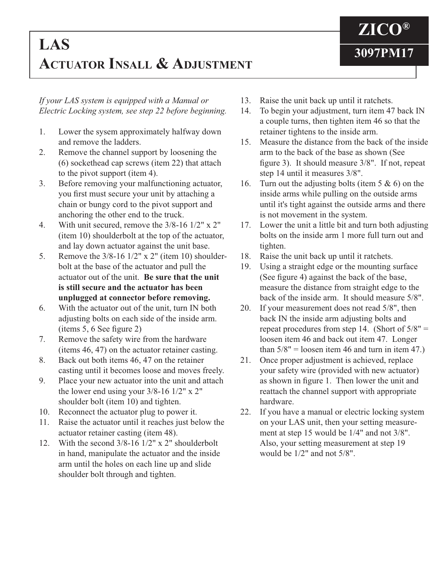## **3097PM17 LAS ACTUATOR INSALL & ADJUSTMENT**

*If your LAS system is equipped with a Manual or Electric Locking system, see step 22 before beginning.*

- 1. Lower the sysem approximately halfway down and remove the ladders.
- 2. Remove the channel support by loosening the (6) sockethead cap screws (item 22) that attach to the pivot support (item 4).
- 3. Before removing your malfunctioning actuator, you first must secure your unit by attaching a chain or bungy cord to the pivot support and anchoring the other end to the truck.
- 4. With unit secured, remove the 3/8-16 1/2" x 2" (item 10) shoulderbolt at the top of the actuator, and lay down actuator against the unit base.
- 5. Remove the 3/8-16 1/2" x 2" (item 10) shoulder bolt at the base of the actuator and pull the actuator out of the unit. **Be sure that the unit is still secure and the actuator has been unplugged at connector before removing.**
- 6. With the actuator out of the unit, turn IN both adjusting bolts on each side of the inside arm.  $(items 5, 6 See figure 2)$
- 7. Remove the safety wire from the hardware (items 46, 47) on the actuator retainer casting.
- 8. Back out both items 46, 47 on the retainer casting until it becomes loose and moves freely.
- 9. Place your new actuator into the unit and attach the lower end using your  $3/8-16$  1/2" x 2" shoulder bolt (item 10) and tighten.
- 10. Reconnect the actuator plug to power it.
- 11. Raise the actuator until it reaches just below the actuator retainer casting (item 48).
- 12. With the second 3/8-16 1/2" x 2" shoulderbolt in hand, manipulate the actuator and the inside arm until the holes on each line up and slide shoulder bolt through and tighten.
- 13. Raise the unit back up until it ratchets.
- 14. To begin your adjustment, turn item 47 back IN a couple turns, then tighten item 46 so that the retainer tightens to the inside arm.

**ZICO®**

- 15. Measure the distance from the back of the inside arm to the back of the base as shown (See figure 3). It should measure  $3/8$ ". If not, repeat step 14 until it measures 3/8".
- 16. Turn out the adjusting bolts (item  $5 \& 6$ ) on the inside arms while pulling on the outside arms until it's tight against the outside arms and there is not movement in the system.
- 17. Lower the unit a little bit and turn both adjusting bolts on the inside arm 1 more full turn out and tighten.
- 18. Raise the unit back up until it ratchets.
- 19. Using a straight edge or the mounting surface (See figure 4) against the back of the base, measure the distance from straight edge to the back of the inside arm. It should measure 5/8".
- 20. If your measurement does not read 5/8", then back IN the inside arm adjusting bolts and repeat procedures from step 14. (Short of  $5/8"$  = loosen item 46 and back out item 47. Longer than  $5/8$ " = loosen item 46 and turn in item 47.)
- 21. Once proper adjustment is achieved, replace your safety wire (provided with new actuator) as shown in figure 1. Then lower the unit and reattach the channel support with appropriate hardware.
- 22. If you have a manual or electric locking system on your LAS unit, then your setting measure ment at step 15 would be 1/4" and not 3/8". Also, your setting measurement at step 19 would be 1/2" and not 5/8".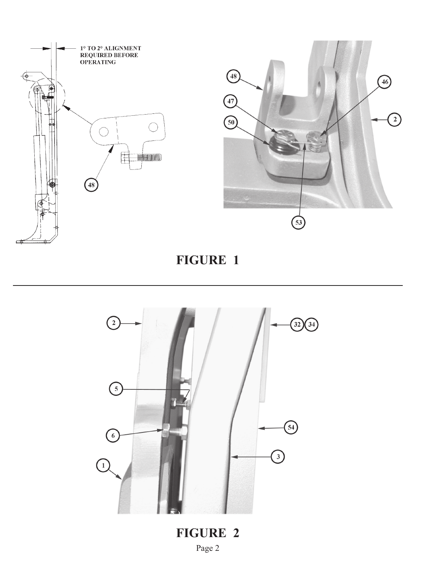

**FIGURE 1**



**FIGURE 2** Page 2